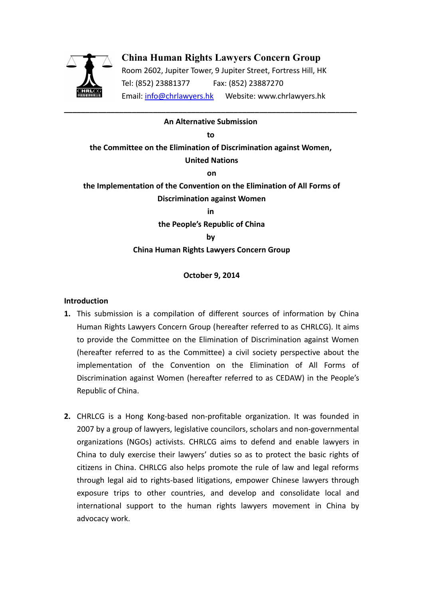

# **China Human Rights Lawyers Concern Group**

Room 2602, Jupiter Tower, 9 Jupiter Street, Fortress Hill, HK Tel: (852) 23881377 Fax: (852) 23887270 Email: [info@chrlawyers.hk](mailto:info@chrlawyers.hk) Website: www.chrlawyers.hk

# **\_\_\_\_\_\_\_\_\_\_\_\_\_\_\_\_\_\_\_\_\_\_\_\_\_\_\_\_\_\_\_\_\_\_\_\_\_\_\_\_\_\_\_\_\_\_\_\_\_\_\_\_\_\_\_\_\_\_\_\_\_\_\_\_\_\_\_\_\_ An Alternative Submission**

**to the Committee on the Elimination of Discrimination against Women, United Nations on the Implementation of the Convention on the Elimination of All Forms of Discrimination against Women in the People's Republic of China by China Human Rights Lawyers Concern Group**

## **October 9, 2014**

#### **Introduction**

- **1.** This submission is a compilation of different sources of information by China Human Rights Lawyers Concern Group (hereafter referred to as CHRLCG). It aims to provide the Committee on the Elimination of Discrimination against Women (hereafter referred to as the Committee) a civil society perspective about the implementation of the Convention on the Elimination of All Forms of Discrimination against Women (hereafter referred to as CEDAW) in the People's Republic of China.
- **2.** CHRLCG is a Hong Kong-based non-profitable organization. It was founded in 2007 by a group of lawyers, legislative councilors, scholars and non-governmental organizations (NGOs) activists. CHRLCG aims to defend and enable lawyers in China to duly exercise their lawyers' duties so as to protect the basic rights of citizens in China. CHRLCG also helps promote the rule of law and legal reforms through legal aid to rights-based litigations, empower Chinese lawyers through exposure trips to other countries, and develop and consolidate local and international support to the human rights lawyers movement in China by advocacy work.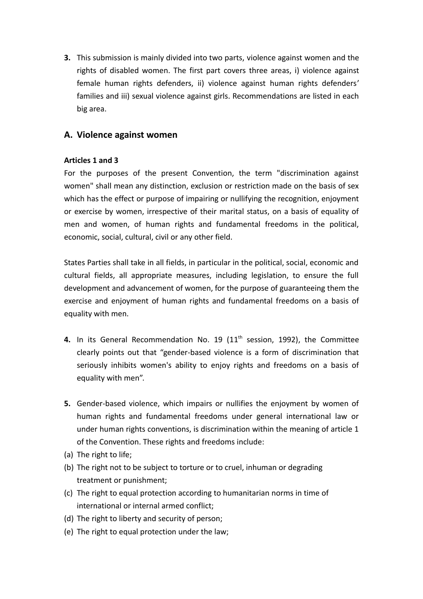**3.** This submission is mainly divided into two parts, violence against women and the rights of disabled women. The first part covers three areas, i) violence against female human rights defenders, ii) violence against human rights defenders' families and iii) sexual violence against girls. Recommendations are listed in each big area.

# **A. Violence against women**

# **Articles 1 and 3**

For the purposes of the present Convention, the term "discrimination against women" shall mean any distinction, exclusion or restriction made on the basis of sex which has the effect or purpose of impairing or nullifying the recognition, enjoyment or exercise by women, irrespective of their marital status, on a basis of equality of men and women, of human rights and fundamental freedoms in the political, economic, social, cultural, civil or any other field.

States Parties shall take in all fields, in particular in the political, social, economic and cultural fields, all appropriate measures, including legislation, to ensure the full development and advancement of women, for the purpose of guaranteeing them the exercise and enjoyment of human rights and fundamental freedoms on a basis of equality with men.

- **4.** In its General Recommendation No. 19 (11th session, 1992), the Committee clearly points out that "gender-based violence is a form of discrimination that seriously inhibits women's ability to enjoy rights and freedoms on a basis of equality with men".
- **5.** Gender-based violence, which impairs or nullifies the enjoyment by women of human rights and fundamental freedoms under general international law or under human rights conventions, is discrimination within the meaning of article 1 of the Convention. These rights and freedoms include:
- (a) The right to life;
- (b) The right not to be subject to torture or to cruel, inhuman or degrading treatment or punishment;
- (c) The right to equal protection according to humanitarian norms in time of international or internal armed conflict;
- (d) The right to liberty and security of person;
- (e) The right to equal protection under the law;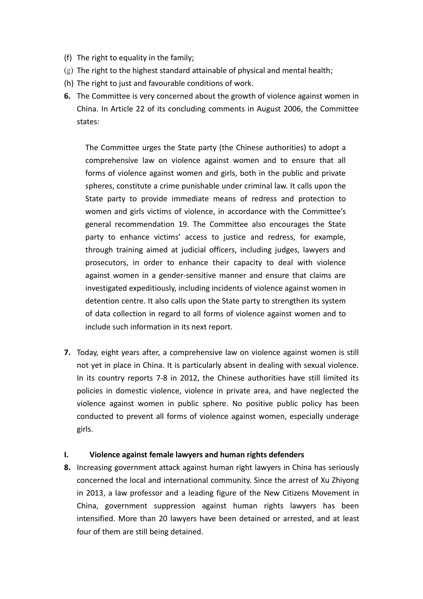- (f) The right to equality in the family;
- (g) The right to the highest standard attainable of physical and mental health;
- (h) The right to just and favourable conditions of work.
- **6.** The Committee is very concerned about the growth of violence against women in China. In Article 22 of its concluding comments in August 2006, the Committee states:

The Committee urges the State party (the Chinese authorities) to adopt a comprehensive law on violence against women and to ensure that all forms of violence against women and girls, both in the public and private spheres, constitute a crime punishable under criminal law. It calls upon the State party to provide immediate means of redress and protection to women and girls victims of violence, in accordance with the Committee's general recommendation 19. The Committee also encourages the State party to enhance victims' access to justice and redress, for example, through training aimed at judicial officers, including judges, lawyers and prosecutors, in order to enhance their capacity to deal with violence against women in a gender-sensitive manner and ensure that claims are investigated expeditiously, including incidents of violence against women in detention centre. It also calls upon the State party to strengthen its system of data collection in regard to all forms of violence against women and to include such information in its next report.

**7.** Today, eight years after, a comprehensive law on violence against women is still not yet in place in China. It is particularly absent in dealing with sexual violence. In its country reports 7-8 in 2012, the Chinese authorities have still limited its policies in domestic violence, violence in private area, and have neglected the violence against women in public sphere. No positive public policy has been conducted to prevent all forms of violence against women, especially underage girls.

## **I. Violence against female lawyers and human rights defenders**

**8.** Increasing government attack against human right lawyers in China has seriously concerned the local and international community. Since the arrest of Xu Zhiyong in 2013, a law professor and a leading figure of the New Citizens Movement in China, government suppression against human rights lawyers has been intensified. More than 20 lawyers have been detained or arrested, and at least four of them are still being detained.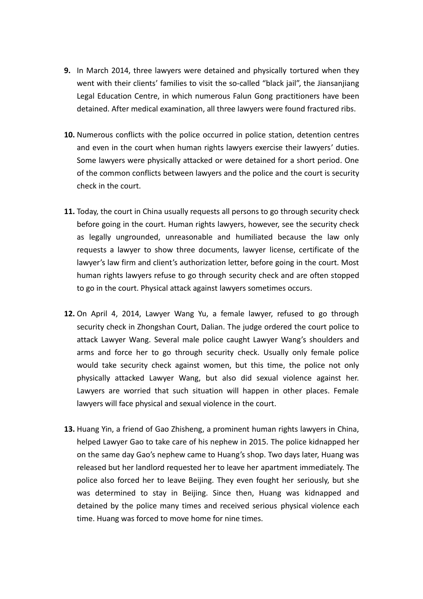- **9.** In March 2014, three lawyers were detained and physically tortured when they went with their clients' families to visit the so-called "black jail", the Jiansanjiang Legal Education Centre, in which numerous Falun Gong practitioners have been detained. After medical examination, all three lawyers were found fractured ribs.
- **10.** Numerous conflicts with the police occurred in police station, detention centres and even in the court when human rights lawyers exercise their lawyers' duties. Some lawyers were physically attacked or were detained for a short period. One of the common conflicts between lawyers and the police and the court is security check in the court.
- **11.** Today, the court in China usually requests all persons to go through security check before going in the court. Human rights lawyers, however, see the security check as legally ungrounded, unreasonable and humiliated because the law only requests a lawyer to show three documents, lawyer license, certificate of the lawyer's law firm and client's authorization letter, before going in the court. Most human rights lawyers refuse to go through security check and are often stopped to go in the court. Physical attack against lawyers sometimes occurs.
- **12.** On April 4, 2014, Lawyer Wang Yu, a female lawyer, refused to go through security check in Zhongshan Court, Dalian. The judge ordered the court police to attack Lawyer Wang. Several male police caught Lawyer Wang's shoulders and arms and force her to go through security check. Usually only female police would take security check against women, but this time, the police not only physically attacked Lawyer Wang, but also did sexual violence against her. Lawyers are worried that such situation will happen in other places. Female lawyers will face physical and sexual violence in the court.
- **13.** Huang Yin, a friend of Gao Zhisheng, a prominent human rights lawyers in China, helped Lawyer Gao to take care of his nephew in 2015. The police kidnapped her on the same day Gao's nephew came to Huang's shop. Two days later, Huang was released but her landlord requested her to leave her apartment immediately. The police also forced her to leave Beijing. They even fought her seriously, but she was determined to stay in Beijing. Since then, Huang was kidnapped and detained by the police many times and received serious physical violence each time. Huang was forced to move home for nine times.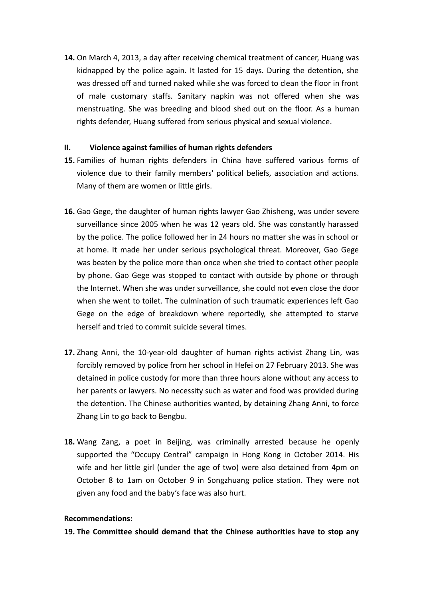**14.** On March 4, 2013, a day after receiving chemical treatment of cancer, Huang was kidnapped by the police again. It lasted for 15 days. During the detention, she was dressed off and turned naked while she was forced to clean the floor in front of male customary staffs. Sanitary napkin was not offered when she was menstruating. She was breeding and blood shed out on the floor. As a human rights defender, Huang suffered from serious physical and sexual violence.

## **II. Violence against families of human rights defenders**

- **15.** Families of human rights defenders in China have suffered various forms of violence due to their family members' political beliefs, association and actions. Many of them are women or little girls.
- **16.** Gao Gege, the daughter of human rights lawyer Gao Zhisheng, was under severe surveillance since 2005 when he was 12 years old. She was constantly harassed by the police. The police followed her in 24 hours no matter she was in school or at home. It made her under serious psychological threat. Moreover, Gao Gege was beaten by the police more than once when she tried to contact other people by phone. Gao Gege was stopped to contact with outside by phone or through the Internet. When she was under surveillance, she could not even close the door when she went to toilet. The culmination of such traumatic experiences left Gao Gege on the edge of breakdown where reportedly, she attempted to starve herself and tried to commit suicide several times.
- **17.** Zhang Anni, the 10-year-old daughter of human rights activist Zhang Lin, was forcibly removed by police from her school in Hefei on 27 February 2013. She was detained in police custody for more than three hours alone without any access to her parents or lawyers. No necessity such as water and food was provided during the detention. The Chinese authorities wanted, by detaining Zhang Anni, to force Zhang Lin to go back to Bengbu.
- **18.** Wang Zang, a poet in Beijing, was criminally arrested because he openly supported the "Occupy Central" campaign in Hong Kong in October 2014. His wife and her little girl (under the age of two) were also detained from 4pm on October 8 to 1am on October 9 in Songzhuang police station. They were not given any food and the baby's face was also hurt.

## **Recommendations:**

**19. The Committee should demand that the Chinese authorities have to stop any**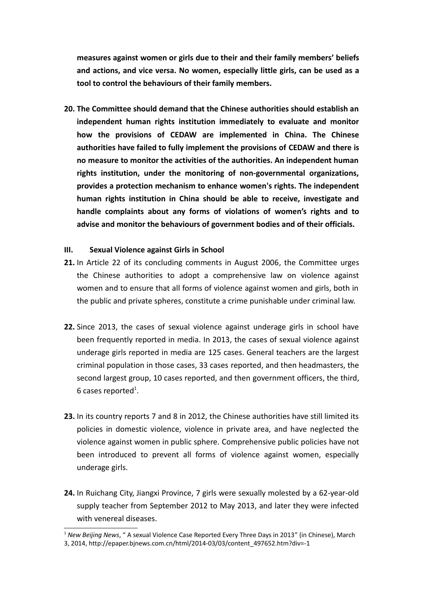**measures against women or girls due to their and their family members' beliefs and actions, and vice versa. No women, especially little girls, can be used as a tool to control the behaviours of their family members.**

**20. The Committee should demand that the Chinese authorities should establish an independent human rights institution immediately to evaluate and monitor how the provisions of CEDAW are implemented in China. The Chinese authorities have failed to fully implement the provisions of CEDAW and there is no measure to monitor the activities of the authorities. An independent human rights institution, under the monitoring of non-governmental organizations, provides a protection mechanism to enhance women's rights. The independent human rights institution in China should be able to receive, investigate and handle complaints about any forms of violations of women's rights and to advise and monitor the behaviours of government bodies and of their officials.**

#### **III. Sexual Violence against Girls in School**

- **21.** In Article 22 of its concluding comments in August 2006, the Committee urges the Chinese authorities to adopt a comprehensive law on violence against women and to ensure that all forms of violence against women and girls, both in the public and private spheres, constitute a crime punishable under criminal law.
- **22.** Since 2013, the cases of sexual violence against underage girls in school have been frequently reported in media. In 2013, the cases of sexual violence against underage girls reported in media are 125 cases. General teachers are the largest criminal population in those cases, 33 cases reported, and then headmasters, the second largest group, 10 cases reported, and then government officers, the third, 6 cases reported<sup>[1](#page-5-0)</sup>.
- **23.** In its country reports 7 and 8 in 2012, the Chinese authorities have still limited its policies in domestic violence, violence in private area, and have neglected the violence against women in public sphere. Comprehensive public policies have not been introduced to prevent all forms of violence against women, especially underage girls.
- **24.** In Ruichang City, Jiangxi Province, 7 girls were sexually molested by a 62-year-old supply teacher from September 2012 to May 2013, and later they were infected with venereal diseases.

<span id="page-5-0"></span><sup>1</sup> *New Beijing News*, " A sexual Violence Case Reported Every Three Days in 2013" (in Chinese), March

<sup>3, 2014,</sup> http://epaper.bjnews.com.cn/html/2014-03/03/content\_497652.htm?div=-1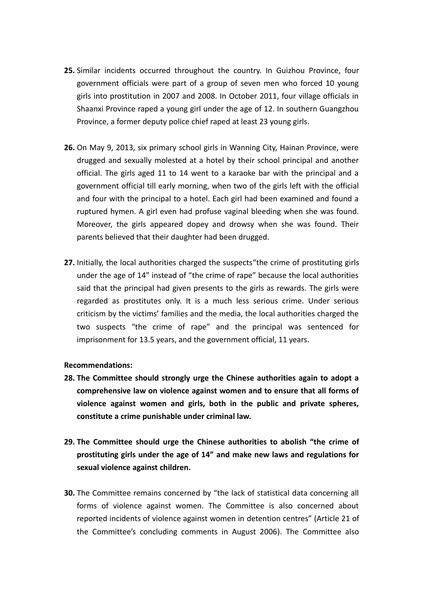- **25.** Similar incidents occurred throughout the country. In Guizhou Province, four government officials were part of a group of seven men who forced 10 young girls into prostitution in 2007 and 2008. In October 2011, four village officials in Shaanxi Province raped a young girl under the age of 12. In southern Guangzhou Province, a former deputy police chief raped at least 23 young girls.
- **26.** On May 9, 2013, six primary school girls in Wanning City, Hainan Province, were drugged and sexually molested at a hotel by their school principal and another official. The girls aged 11 to 14 went to a karaoke bar with the principal and a government official till early morning, when two of the girls left with the official and four with the principal to a hotel. Each girl had been examined and found a ruptured hymen. A girl even had profuse vaginal bleeding when she was found. Moreover, the girls appeared dopey and drowsy when she was found. Their parents believed that their daughter had been drugged.
- **27.** Initially, the local authorities charged the suspects"the crime of prostituting girls under the age of 14" instead of "the crime of rape" because the local authorities said that the principal had given presents to the girls as rewards. The girls were regarded as prostitutes only. It is a much less serious crime. Under serious criticism by the victims' families and the media, the local authorities charged the two suspects "the crime of rape" and the principal was sentenced for imprisonment for 13.5 years, and the government official, 11 years.

#### **Recommendations:**

- **28. The Committee should strongly urge the Chinese authorities again to adopt a comprehensive law on violence against women and to ensure that all forms of violence against women and girls, both in the public and private spheres, constitute a crime punishable under criminal law.**
- **29. The Committee should urge the Chinese authorities to abolish "the crime of prostituting girls under the age of 14" and make new laws and regulations for sexual violence against children.**
- **30.** The Committee remains concerned by "the lack of statistical data concerning all forms of violence against women. The Committee is also concerned about reported incidents of violence against women in detention centres" (Article 21 of the Committee's concluding comments in August 2006). The Committee also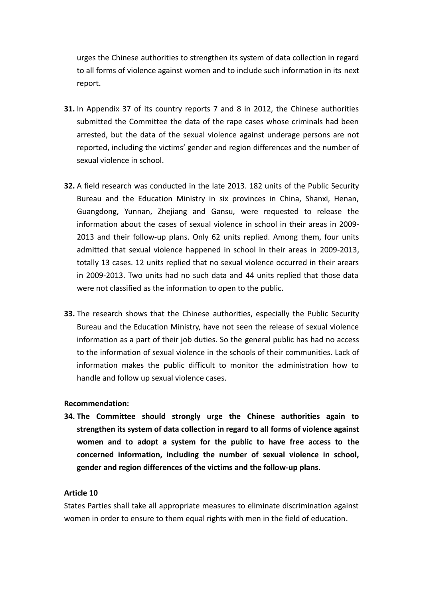urges the Chinese authorities to strengthen its system of data collection in regard to all forms of violence against women and to include such information in its next report.

- **31.** In Appendix 37 of its country reports 7 and 8 in 2012, the Chinese authorities submitted the Committee the data of the rape cases whose criminals had been arrested, but the data of the sexual violence against underage persons are not reported, including the victims' gender and region differences and the number of sexual violence in school.
- **32.** A field research was conducted in the late 2013. 182 units of the Public Security Bureau and the Education Ministry in six provinces in China, Shanxi, Henan, Guangdong, Yunnan, Zhejiang and Gansu, were requested to release the information about the cases of sexual violence in school in their areas in 2009- 2013 and their follow-up plans. Only 62 units replied. Among them, four units admitted that sexual violence happened in school in their areas in 2009-2013, totally 13 cases. 12 units replied that no sexual violence occurred in their arears in 2009-2013. Two units had no such data and 44 units replied that those data were not classified as the information to open to the public.
- **33.** The research shows that the Chinese authorities, especially the Public Security Bureau and the Education Ministry, have not seen the release of sexual violence information as a part of their job duties. So the general public has had no access to the information of sexual violence in the schools of their communities. Lack of information makes the public difficult to monitor the administration how to handle and follow up sexual violence cases.

## **Recommendation:**

**34. The Committee should strongly urge the Chinese authorities again to strengthen its system of data collection in regard to all forms of violence against women and to adopt a system for the public to have free access to the concerned information, including the number of sexual violence in school, gender and region differences of the victims and the follow-up plans.**

## **Article 10**

States Parties shall take all appropriate measures to eliminate discrimination against women in order to ensure to them equal rights with men in the field of education.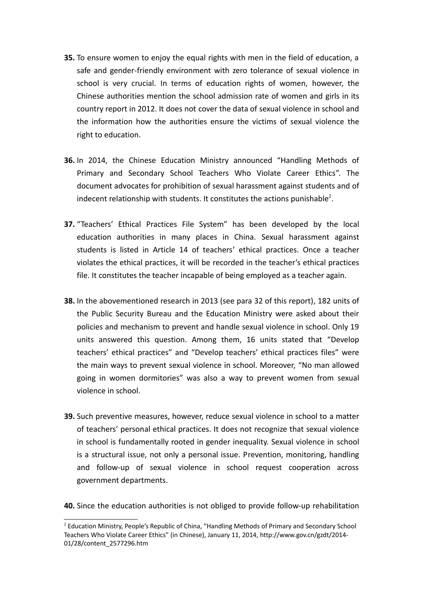- **35.** To ensure women to enjoy the equal rights with men in the field of education, a safe and gender-friendly environment with zero tolerance of sexual violence in school is very crucial. In terms of education rights of women, however, the Chinese authorities mention the school admission rate of women and girls in its country report in 2012. It does not cover the data of sexual violence in school and the information how the authorities ensure the victims of sexual violence the right to education.
- **36.** In 2014, the Chinese Education Ministry announced "Handling Methods of Primary and Secondary School Teachers Who Violate Career Ethics". The document advocates for prohibition of sexual harassment against students and of indecent relationship with students. It constitutes the actions punishable<sup>[2](#page-8-0)</sup>.
- **37.** "Teachers' Ethical Practices File System" has been developed by the local education authorities in many places in China. Sexual harassment against students is listed in Article 14 of teachers' ethical practices. Once a teacher violates the ethical practices, it will be recorded in the teacher's ethical practices file. It constitutes the teacher incapable of being employed as a teacher again.
- **38.** In the abovementioned research in 2013 (see para 32 of this report), 182 units of the Public Security Bureau and the Education Ministry were asked about their policies and mechanism to prevent and handle sexual violence in school. Only 19 units answered this question. Among them, 16 units stated that "Develop teachers' ethical practices" and "Develop teachers' ethical practices files" were the main ways to prevent sexual violence in school. Moreover, "No man allowed going in women dormitories" was also a way to prevent women from sexual violence in school.
- **39.** Such preventive measures, however, reduce sexual violence in school to a matter of teachers' personal ethical practices. It does not recognize that sexual violence in school is fundamentally rooted in gender inequality. Sexual violence in school is a structural issue, not only a personal issue. Prevention, monitoring, handling and follow-up of sexual violence in school request cooperation across government departments.

**40.** Since the education authorities is not obliged to provide follow-up rehabilitation

<span id="page-8-0"></span><sup>&</sup>lt;sup>2</sup> Education Ministry, People's Republic of China, "Handling Methods of Primary and Secondary School Teachers Who Violate Career Ethics" (in Chinese), January 11, 2014, http://www.gov.cn/gzdt/2014- 01/28/content\_2577296.htm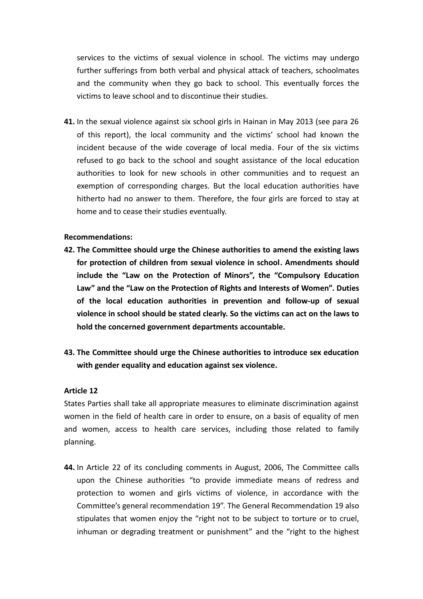services to the victims of sexual violence in school. The victims may undergo further sufferings from both verbal and physical attack of teachers, schoolmates and the community when they go back to school. This eventually forces the victims to leave school and to discontinue their studies.

**41.** In the sexual violence against six school girls in Hainan in May 2013 (see para 26 of this report), the local community and the victims' school had known the incident because of the wide coverage of local media. Four of the six victims refused to go back to the school and sought assistance of the local education authorities to look for new schools in other communities and to request an exemption of corresponding charges. But the local education authorities have hitherto had no answer to them. Therefore, the four girls are forced to stay at home and to cease their studies eventually.

#### **Recommendations:**

- **42. The Committee should urge the Chinese authorities to amend the existing laws for protection of children from sexual violence in school. Amendments should include the "Law on the Protection of Minors", the "Compulsory Education Law" and the "Law on the Protection of Rights and Interests of Women". Duties of the local education authorities in prevention and follow-up of sexual violence in school should be stated clearly. So the victims can act on the laws to hold the concerned government departments accountable.**
- **43. The Committee should urge the Chinese authorities to introduce sex education with gender equality and education against sex violence.**

#### **Article 12**

States Parties shall take all appropriate measures to eliminate discrimination against women in the field of health care in order to ensure, on a basis of equality of men and women, access to health care services, including those related to family planning.

**44.** In Article 22 of its concluding comments in August, 2006, The Committee calls upon the Chinese authorities "to provide immediate means of redress and protection to women and girls victims of violence, in accordance with the Committee's general recommendation 19". The General Recommendation 19 also stipulates that women enjoy the "right not to be subject to torture or to cruel, inhuman or degrading treatment or punishment" and the "right to the highest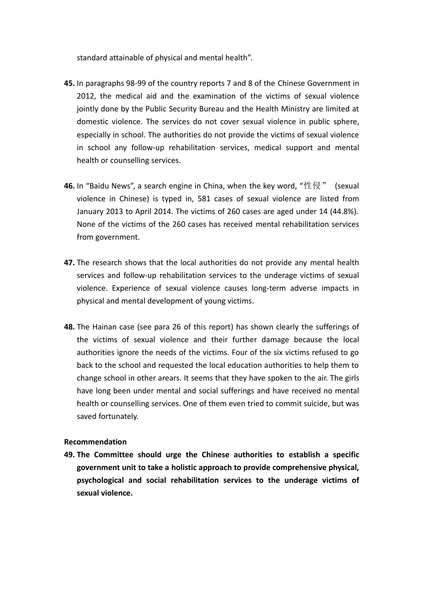standard attainable of physical and mental health".

- **45.** In paragraphs 98-99 of the country reports 7 and 8 of the Chinese Government in 2012, the medical aid and the examination of the victims of sexual violence jointly done by the Public Security Bureau and the Health Ministry are limited at domestic violence. The services do not cover sexual violence in public sphere, especially in school. The authorities do not provide the victims of sexual violence in school any follow-up rehabilitation services, medical support and mental health or counselling services.
- **46.** In "Baidu News", a search engine in China, when the key word, "性侵" (sexual violence in Chinese) is typed in, 581 cases of sexual violence are listed from January 2013 to April 2014. The victims of 260 cases are aged under 14 (44.8%). None of the victims of the 260 cases has received mental rehabilitation services from government.
- **47.** The research shows that the local authorities do not provide any mental health services and follow-up rehabilitation services to the underage victims of sexual violence. Experience of sexual violence causes long-term adverse impacts in physical and mental development of young victims.
- **48.** The Hainan case (see para 26 of this report) has shown clearly the sufferings of the victims of sexual violence and their further damage because the local authorities ignore the needs of the victims. Four of the six victims refused to go back to the school and requested the local education authorities to help them to change school in other arears. It seems that they have spoken to the air. The girls have long been under mental and social sufferings and have received no mental health or counselling services. One of them even tried to commit suicide, but was saved fortunately.

## **Recommendation**

**49. The Committee should urge the Chinese authorities to establish a specific government unit to take a holistic approach to provide comprehensive physical, psychological and social rehabilitation services to the underage victims of sexual violence.**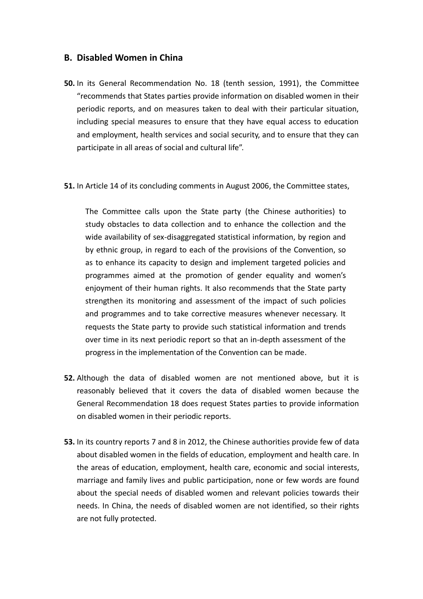# **B. Disabled Women in China**

- **50.** In its General Recommendation No. 18 (tenth session, 1991), the Committee "recommends that States parties provide information on disabled women in their periodic reports, and on measures taken to deal with their particular situation, including special measures to ensure that they have equal access to education and employment, health services and social security, and to ensure that they can participate in all areas of social and cultural life".
- **51.** In Article 14 of its concluding comments in August 2006, the Committee states,

The Committee calls upon the State party (the Chinese authorities) to study obstacles to data collection and to enhance the collection and the wide availability of sex-disaggregated statistical information, by region and by ethnic group, in regard to each of the provisions of the Convention, so as to enhance its capacity to design and implement targeted policies and programmes aimed at the promotion of gender equality and women's enjoyment of their human rights. It also recommends that the State party strengthen its monitoring and assessment of the impact of such policies and programmes and to take corrective measures whenever necessary. It requests the State party to provide such statistical information and trends over time in its next periodic report so that an in-depth assessment of the progress in the implementation of the Convention can be made.

- **52.** Although the data of disabled women are not mentioned above, but it is reasonably believed that it covers the data of disabled women because the General Recommendation 18 does request States parties to provide information on disabled women in their periodic reports.
- **53.** In its country reports 7 and 8 in 2012, the Chinese authorities provide few of data about disabled women in the fields of education, employment and health care. In the areas of education, employment, health care, economic and social interests, marriage and family lives and public participation, none or few words are found about the special needs of disabled women and relevant policies towards their needs. In China, the needs of disabled women are not identified, so their rights are not fully protected.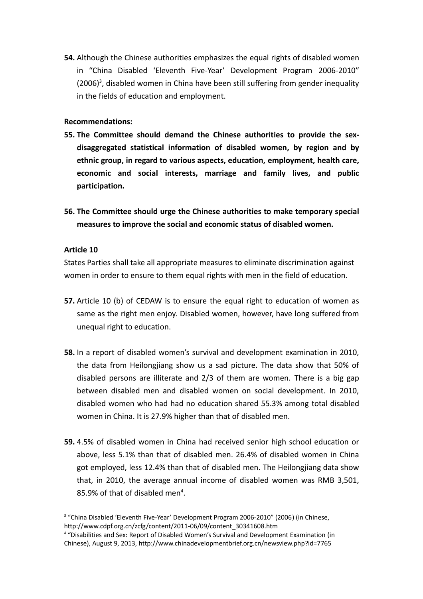**54.** Although the Chinese authorities emphasizes the equal rights of disabled women in "China Disabled 'Eleventh Five-Year' Development Program 2006-2010"  $(2006)^3$  $(2006)^3$ , disabled women in China have been still suffering from gender inequality in the fields of education and employment.

## **Recommendations:**

- **55. The Committee should demand the Chinese authorities to provide the sexdisaggregated statistical information of disabled women, by region and by ethnic group, in regard to various aspects, education, employment, health care, economic and social interests, marriage and family lives, and public participation.**
- **56. The Committee should urge the Chinese authorities to make temporary special measures to improve the social and economic status of disabled women.**

## **Article 10**

States Parties shall take all appropriate measures to eliminate discrimination against women in order to ensure to them equal rights with men in the field of education.

- **57.** Article 10 (b) of CEDAW is to ensure the equal right to education of women as same as the right men enjoy. Disabled women, however, have long suffered from unequal right to education.
- **58.** In a report of disabled women's survival and development examination in 2010, the data from Heilongjiang show us a sad picture. The data show that 50% of disabled persons are illiterate and 2/3 of them are women. There is a big gap between disabled men and disabled women on social development. In 2010, disabled women who had had no education shared 55.3% among total disabled women in China. It is 27.9% higher than that of disabled men.
- **59.** 4.5% of disabled women in China had received senior high school education or above, less 5.1% than that of disabled men. 26.4% of disabled women in China got employed, less 12.4% than that of disabled men. The Heilongjiang data show that, in 2010, the average annual income of disabled women was RMB 3,501, 85.9% of that of disabled men<sup>[4](#page-12-1)</sup>.

<span id="page-12-0"></span><sup>&</sup>lt;sup>3</sup> "China Disabled 'Eleventh Five-Year' Development Program 2006-2010" (2006) (in Chinese, http://www.cdpf.org.cn/zcfg/content/2011-06/09/content\_30341608.htm

<span id="page-12-1"></span><sup>&</sup>lt;sup>4</sup> "Disabilities and Sex: Report of Disabled Women's Survival and Development Examination (in Chinese), August 9, 2013, http://www.chinadevelopmentbrief.org.cn/newsview.php?id=7765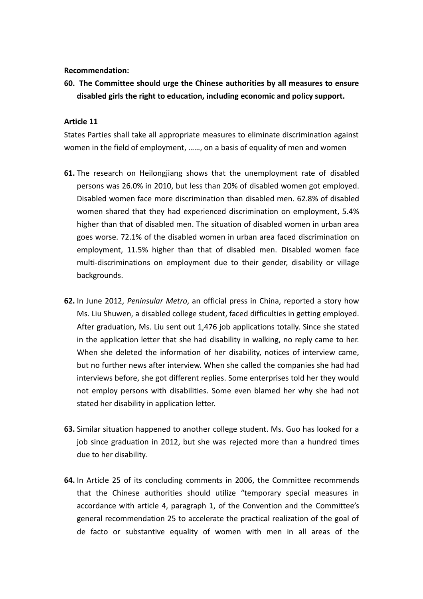**Recommendation:**

**60. The Committee should urge the Chinese authorities by all measures to ensure disabled girls the right to education, including economic and policy support.**

#### **Article 11**

States Parties shall take all appropriate measures to eliminate discrimination against women in the field of employment, ……, on a basis of equality of men and women

- **61.** The research on Heilongjiang shows that the unemployment rate of disabled persons was 26.0% in 2010, but less than 20% of disabled women got employed. Disabled women face more discrimination than disabled men. 62.8% of disabled women shared that they had experienced discrimination on employment, 5.4% higher than that of disabled men. The situation of disabled women in urban area goes worse. 72.1% of the disabled women in urban area faced discrimination on employment, 11.5% higher than that of disabled men. Disabled women face multi-discriminations on employment due to their gender, disability or village backgrounds.
- **62.** In June 2012, *Peninsular Metro*, an official press in China, reported a story how Ms. Liu Shuwen, a disabled college student, faced difficulties in getting employed. After graduation, Ms. Liu sent out 1,476 job applications totally. Since she stated in the application letter that she had disability in walking, no reply came to her. When she deleted the information of her disability, notices of interview came, but no further news after interview. When she called the companies she had had interviews before, she got different replies. Some enterprises told her they would not employ persons with disabilities. Some even blamed her why she had not stated her disability in application letter.
- **63.** Similar situation happened to another college student. Ms. Guo has looked for a job since graduation in 2012, but she was rejected more than a hundred times due to her disability.
- **64.** In Article 25 of its concluding comments in 2006, the Committee recommends that the Chinese authorities should utilize "temporary special measures in accordance with article 4, paragraph 1, of the Convention and the Committee's general recommendation 25 to accelerate the practical realization of the goal of de facto or substantive equality of women with men in all areas of the